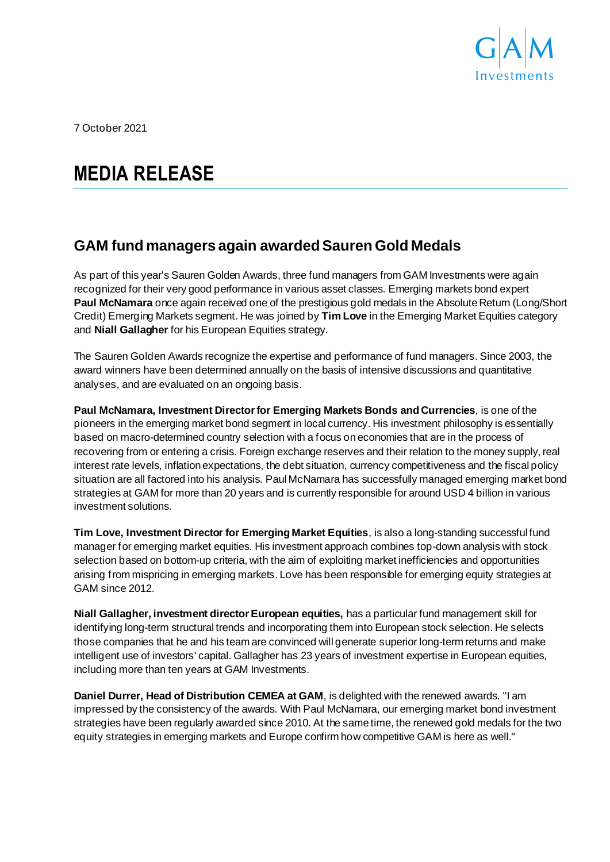

7 October 2021

# **MEDIA RELEASE**

## **GAM fund managers again awarded Sauren Gold Medals**

As part of this year's Sauren Golden Awards, three fund managers from GAM Investments were again recognized for their very good performance in various asset classes. Emerging markets bond expert **Paul McNamara** once again received one of the prestigious gold medals in the Absolute Return (Long/Short Credit) Emerging Markets segment. He was joined by **Tim Love** in the Emerging Market Equities category and **Niall Gallagher** for his European Equities strategy.

The Sauren Golden Awards recognize the expertise and performance of fund managers. Since 2003, the award winners have been determined annually on the basis of intensive discussions and quantitative analyses, and are evaluated on an ongoing basis.

**Paul McNamara, Investment Director for Emerging Markets Bonds and Currencies**, is one of the pioneers in the emerging market bond segment in local currency. His investment philosophy is essentially based on macro-determined country selection with a focus on economies that are in the process of recovering from or entering a crisis. Foreign exchange reserves and their relation to the money supply, real interest rate levels, inflation expectations, the debt situation, currency competitiveness and the fiscal policy situation are all factored into his analysis. Paul McNamara has successfully managed emerging market bond strategies at GAM for more than 20 years and is currently responsible for around USD 4 billion in various investment solutions.

**Tim Love, Investment Director for Emerging Market Equities**, is also a long-standing successful fund manager for emerging market equities. His investment approach combines top-down analysis with stock selection based on bottom-up criteria, with the aim of exploiting market inefficiencies and opportunities arising from mispricing in emerging markets. Love has been responsible for emerging equity strategies at GAM since 2012.

**Niall Gallagher, investment director European equities,** has a particular fund management skill for identifying long-term structural trends and incorporating them into European stock selection. He selects those companies that he and his team are convinced will generate superior long-term returns and make intelligent use of investors' capital. Gallagher has 23 years of investment expertise in European equities, including more than ten years at GAM Investments.

**Daniel Durrer, Head of Distribution CEMEA at GAM**, is delighted with the renewed awards. "I am impressed by the consistency of the awards. With Paul McNamara, our emerging market bond investment strategies have been regularly awarded since 2010. At the same time, the renewed gold medals for the two equity strategies in emerging markets and Europe confirm how competitive GAM is here as well."